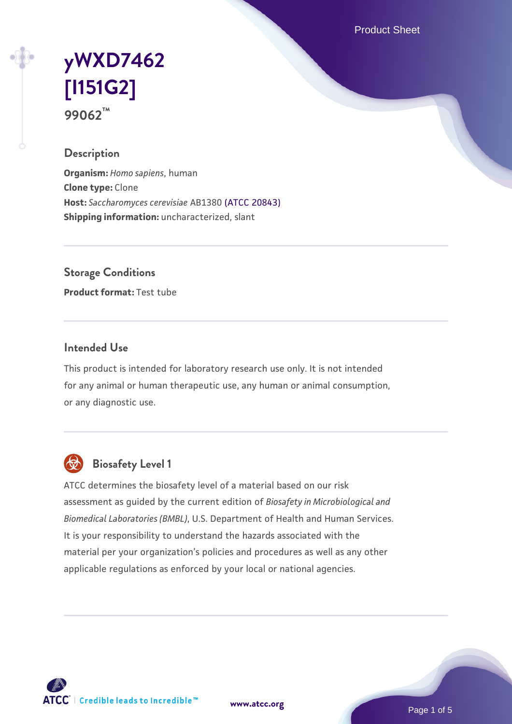Product Sheet

# **[yWXD7462](https://www.atcc.org/products/99062) [\[I151G2\]](https://www.atcc.org/products/99062) 99062™**

### **Description**

**Organism:** *Homo sapiens*, human **Clone type:** Clone **Host:** *Saccharomyces cerevisiae* AB1380 [\(ATCC 20843\)](https://www.atcc.org/products/20843) **Shipping information:** uncharacterized, slant

**Storage Conditions**

**Product format:** Test tube

#### **Intended Use**

This product is intended for laboratory research use only. It is not intended for any animal or human therapeutic use, any human or animal consumption, or any diagnostic use.



## **Biosafety Level 1**

ATCC determines the biosafety level of a material based on our risk assessment as guided by the current edition of *Biosafety in Microbiological and Biomedical Laboratories (BMBL)*, U.S. Department of Health and Human Services. It is your responsibility to understand the hazards associated with the material per your organization's policies and procedures as well as any other applicable regulations as enforced by your local or national agencies.

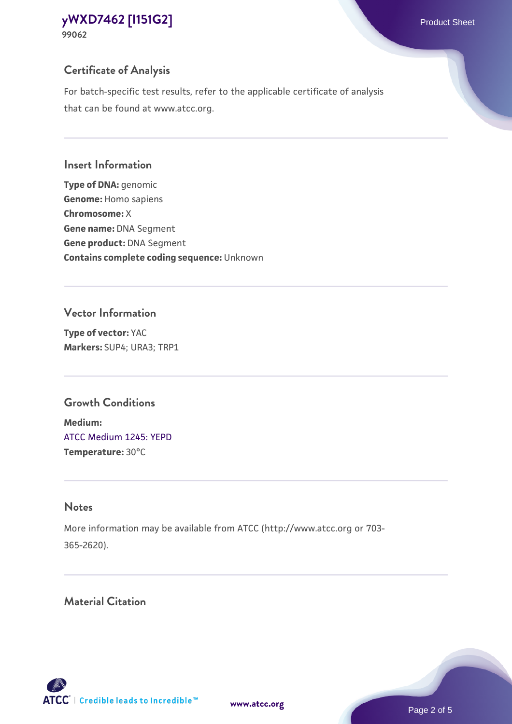## **Certificate of Analysis**

For batch-specific test results, refer to the applicable certificate of analysis that can be found at www.atcc.org.

#### **Insert Information**

**Type of DNA:** genomic **Genome:** Homo sapiens **Chromosome:** X **Gene name:** DNA Segment **Gene product:** DNA Segment **Contains complete coding sequence:** Unknown

#### **Vector Information**

**Type of vector:** YAC **Markers:** SUP4; URA3; TRP1

### **Growth Conditions**

**Medium:**  [ATCC Medium 1245: YEPD](https://www.atcc.org/-/media/product-assets/documents/microbial-media-formulations/1/2/4/5/atcc-medium-1245.pdf?rev=705ca55d1b6f490a808a965d5c072196) **Temperature:** 30°C

## **Notes**

More information may be available from ATCC (http://www.atcc.org or 703- 365-2620).

## **Material Citation**

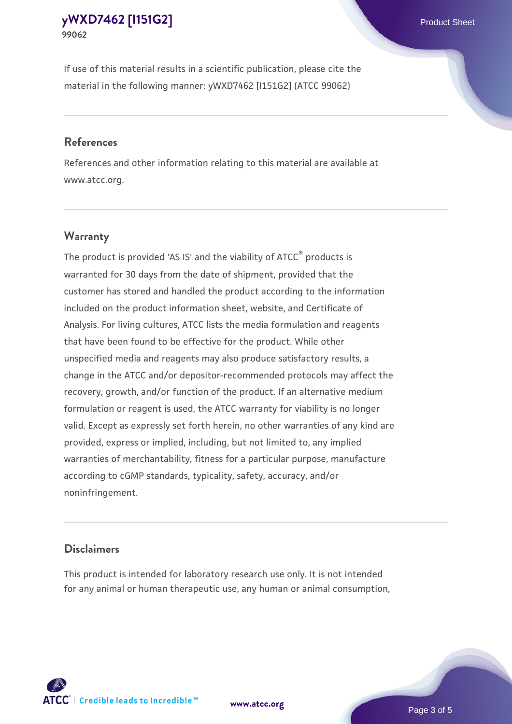If use of this material results in a scientific publication, please cite the material in the following manner: yWXD7462 [I151G2] (ATCC 99062)

#### **References**

References and other information relating to this material are available at www.atcc.org.

#### **Warranty**

The product is provided 'AS IS' and the viability of  $ATCC<sup>®</sup>$  products is warranted for 30 days from the date of shipment, provided that the customer has stored and handled the product according to the information included on the product information sheet, website, and Certificate of Analysis. For living cultures, ATCC lists the media formulation and reagents that have been found to be effective for the product. While other unspecified media and reagents may also produce satisfactory results, a change in the ATCC and/or depositor-recommended protocols may affect the recovery, growth, and/or function of the product. If an alternative medium formulation or reagent is used, the ATCC warranty for viability is no longer valid. Except as expressly set forth herein, no other warranties of any kind are provided, express or implied, including, but not limited to, any implied warranties of merchantability, fitness for a particular purpose, manufacture according to cGMP standards, typicality, safety, accuracy, and/or noninfringement.

#### **Disclaimers**

This product is intended for laboratory research use only. It is not intended for any animal or human therapeutic use, any human or animal consumption,

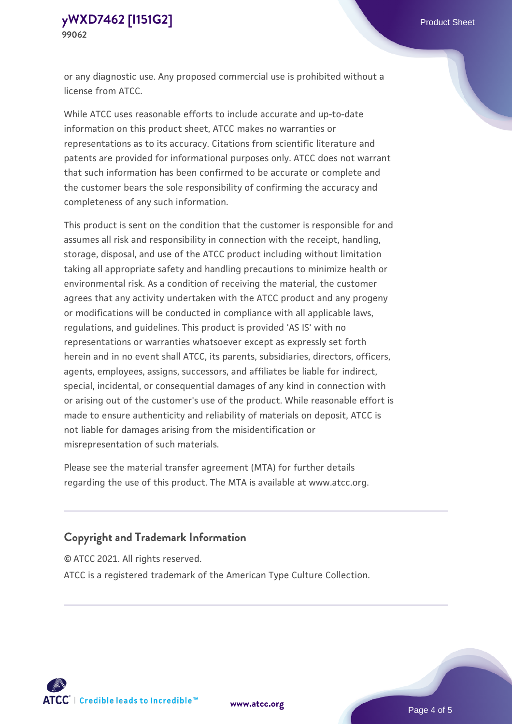or any diagnostic use. Any proposed commercial use is prohibited without a license from ATCC.

While ATCC uses reasonable efforts to include accurate and up-to-date information on this product sheet, ATCC makes no warranties or representations as to its accuracy. Citations from scientific literature and patents are provided for informational purposes only. ATCC does not warrant that such information has been confirmed to be accurate or complete and the customer bears the sole responsibility of confirming the accuracy and completeness of any such information.

This product is sent on the condition that the customer is responsible for and assumes all risk and responsibility in connection with the receipt, handling, storage, disposal, and use of the ATCC product including without limitation taking all appropriate safety and handling precautions to minimize health or environmental risk. As a condition of receiving the material, the customer agrees that any activity undertaken with the ATCC product and any progeny or modifications will be conducted in compliance with all applicable laws, regulations, and guidelines. This product is provided 'AS IS' with no representations or warranties whatsoever except as expressly set forth herein and in no event shall ATCC, its parents, subsidiaries, directors, officers, agents, employees, assigns, successors, and affiliates be liable for indirect, special, incidental, or consequential damages of any kind in connection with or arising out of the customer's use of the product. While reasonable effort is made to ensure authenticity and reliability of materials on deposit, ATCC is not liable for damages arising from the misidentification or misrepresentation of such materials.

Please see the material transfer agreement (MTA) for further details regarding the use of this product. The MTA is available at www.atcc.org.

### **Copyright and Trademark Information**

© ATCC 2021. All rights reserved.

ATCC is a registered trademark of the American Type Culture Collection.



**[www.atcc.org](http://www.atcc.org)**

Page 4 of 5